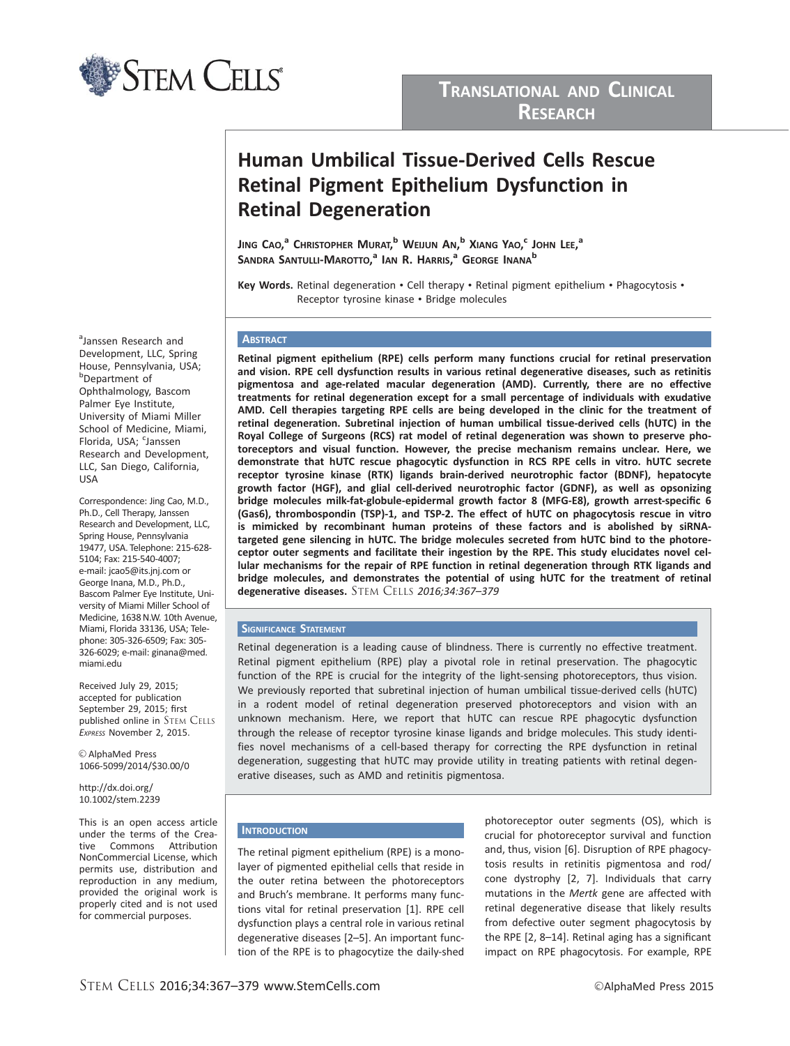

## TRANSLATIONAL AND CLINICAL RESEARCH

# Human Umbilical Tissue-Derived Cells Rescue Retinal Pigment Epithelium Dysfunction in Retinal Degeneration

Jing Cao,<sup>a</sup> Christopher Murat,<sup>b</sup> Weijun An,<sup>b</sup> Xiang Yao,<sup>c</sup> John Lee,<sup>a</sup> Sandra Santulli-Marotto,<sup>a</sup> Ian R. Harris,<sup>a</sup> George Inana<sup>b</sup>

Key Words. Retinal degeneration • Cell therapy • Retinal pigment epithelium • Phagocytosis • Receptor tyrosine kinase • Bridge molecules

## **ABSTRACT**

Retinal pigment epithelium (RPE) cells perform many functions crucial for retinal preservation and vision. RPE cell dysfunction results in various retinal degenerative diseases, such as retinitis pigmentosa and age-related macular degeneration (AMD). Currently, there are no effective treatments for retinal degeneration except for a small percentage of individuals with exudative AMD. Cell therapies targeting RPE cells are being developed in the clinic for the treatment of retinal degeneration. Subretinal injection of human umbilical tissue-derived cells (hUTC) in the Royal College of Surgeons (RCS) rat model of retinal degeneration was shown to preserve photoreceptors and visual function. However, the precise mechanism remains unclear. Here, we demonstrate that hUTC rescue phagocytic dysfunction in RCS RPE cells in vitro. hUTC secrete receptor tyrosine kinase (RTK) ligands brain-derived neurotrophic factor (BDNF), hepatocyte growth factor (HGF), and glial cell-derived neurotrophic factor (GDNF), as well as opsonizing bridge molecules milk-fat-globule-epidermal growth factor 8 (MFG-E8), growth arrest-specific 6 (Gas6), thrombospondin (TSP)-1, and TSP-2. The effect of hUTC on phagocytosis rescue in vitro is mimicked by recombinant human proteins of these factors and is abolished by siRNAtargeted gene silencing in hUTC. The bridge molecules secreted from hUTC bind to the photoreceptor outer segments and facilitate their ingestion by the RPE. This study elucidates novel cellular mechanisms for the repair of RPE function in retinal degeneration through RTK ligands and bridge molecules, and demonstrates the potential of using hUTC for the treatment of retinal degenerative diseases. STEM CELLS 2016;34:367-379

## **SIGNIFICANCE STATEMENT**

Retinal degeneration is a leading cause of blindness. There is currently no effective treatment. Retinal pigment epithelium (RPE) play a pivotal role in retinal preservation. The phagocytic function of the RPE is crucial for the integrity of the light-sensing photoreceptors, thus vision. We previously reported that subretinal injection of human umbilical tissue-derived cells (hUTC) in a rodent model of retinal degeneration preserved photoreceptors and vision with an unknown mechanism. Here, we report that hUTC can rescue RPE phagocytic dysfunction through the release of receptor tyrosine kinase ligands and bridge molecules. This study identifies novel mechanisms of a cell-based therapy for correcting the RPE dysfunction in retinal degeneration, suggesting that hUTC may provide utility in treating patients with retinal degenerative diseases, such as AMD and retinitis pigmentosa.

## **INTRODUCTION**

The retinal pigment epithelium (RPE) is a monolayer of pigmented epithelial cells that reside in the outer retina between the photoreceptors and Bruch's membrane. It performs many functions vital for retinal preservation [1]. RPE cell dysfunction plays a central role in various retinal degenerative diseases [2–5]. An important function of the RPE is to phagocytize the daily-shed photoreceptor outer segments (OS), which is crucial for photoreceptor survival and function and, thus, vision [6]. Disruption of RPE phagocytosis results in retinitis pigmentosa and rod/ cone dystrophy [2, 7]. Individuals that carry mutations in the Mertk gene are affected with retinal degenerative disease that likely results from defective outer segment phagocytosis by the RPE [2, 8–14]. Retinal aging has a significant impact on RPE phagocytosis. For example, RPE

a Janssen Research and Development, LLC, Spring House, Pennsylvania, USA; b Department of Ophthalmology, Bascom Palmer Eye Institute, University of Miami Miller School of Medicine, Miami, Florida, USA; <sup>c</sup>Janssen Research and Development, LLC, San Diego, California, USA

Correspondence: Jing Cao, M.D., Ph.D., Cell Therapy, Janssen Research and Development, LLC, Spring House, Pennsylvania 19477, USA. Telephone: 215-628- 5104; Fax: 215-540-4007; e-mail: jcao5@its.jnj.com or George Inana, M.D., Ph.D., Bascom Palmer Eye Institute, University of Miami Miller School of Medicine, 1638 N.W. 10th Avenue, Miami, Florida 33136, USA; Telephone: 305-326-6509; Fax: 305- 326-6029; e-mail: ginana@med. miami.edu

Received July 29, 2015; accepted for publication September 29, 2015; first published online in STEM CELLS EXPRESS November 2, 2015.

C AlphaMed Press 1066-5099/2014/\$30.00/0

http://dx.doi.org/ 10.1002/stem.2239

This is an open access article under the terms of the Creative Commons Attribution NonCommercial License, which permits use, distribution and reproduction in any medium, provided the original work is properly cited and is not used for commercial purposes.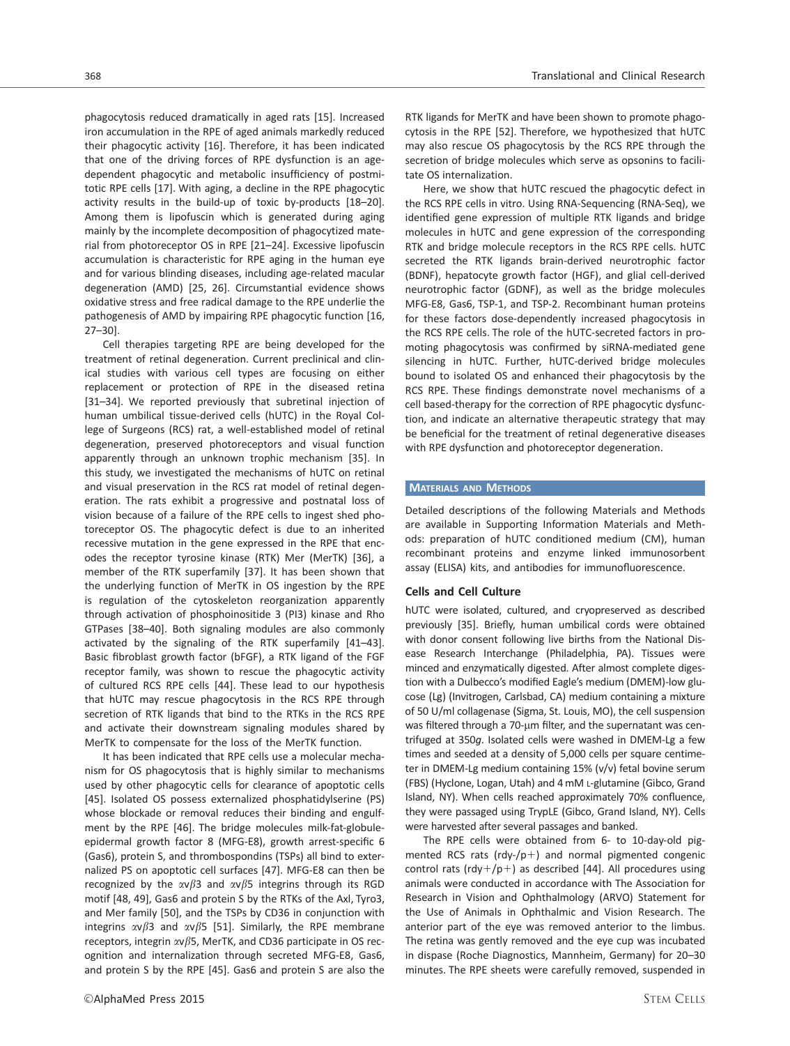phagocytosis reduced dramatically in aged rats [15]. Increased iron accumulation in the RPE of aged animals markedly reduced their phagocytic activity [16]. Therefore, it has been indicated that one of the driving forces of RPE dysfunction is an agedependent phagocytic and metabolic insufficiency of postmitotic RPE cells [17]. With aging, a decline in the RPE phagocytic activity results in the build-up of toxic by-products [18–20]. Among them is lipofuscin which is generated during aging mainly by the incomplete decomposition of phagocytized material from photoreceptor OS in RPE [21–24]. Excessive lipofuscin accumulation is characteristic for RPE aging in the human eye and for various blinding diseases, including age-related macular degeneration (AMD) [25, 26]. Circumstantial evidence shows oxidative stress and free radical damage to the RPE underlie the pathogenesis of AMD by impairing RPE phagocytic function [16, 27–30].

Cell therapies targeting RPE are being developed for the treatment of retinal degeneration. Current preclinical and clinical studies with various cell types are focusing on either replacement or protection of RPE in the diseased retina [31–34]. We reported previously that subretinal injection of human umbilical tissue-derived cells (hUTC) in the Royal College of Surgeons (RCS) rat, a well-established model of retinal degeneration, preserved photoreceptors and visual function apparently through an unknown trophic mechanism [35]. In this study, we investigated the mechanisms of hUTC on retinal and visual preservation in the RCS rat model of retinal degeneration. The rats exhibit a progressive and postnatal loss of vision because of a failure of the RPE cells to ingest shed photoreceptor OS. The phagocytic defect is due to an inherited recessive mutation in the gene expressed in the RPE that encodes the receptor tyrosine kinase (RTK) Mer (MerTK) [36], a member of the RTK superfamily [37]. It has been shown that the underlying function of MerTK in OS ingestion by the RPE is regulation of the cytoskeleton reorganization apparently through activation of phosphoinositide 3 (PI3) kinase and Rho GTPases [38–40]. Both signaling modules are also commonly activated by the signaling of the RTK superfamily [41–43]. Basic fibroblast growth factor (bFGF), a RTK ligand of the FGF receptor family, was shown to rescue the phagocytic activity of cultured RCS RPE cells [44]. These lead to our hypothesis that hUTC may rescue phagocytosis in the RCS RPE through secretion of RTK ligands that bind to the RTKs in the RCS RPE and activate their downstream signaling modules shared by MerTK to compensate for the loss of the MerTK function.

It has been indicated that RPE cells use a molecular mechanism for OS phagocytosis that is highly similar to mechanisms used by other phagocytic cells for clearance of apoptotic cells [45]. Isolated OS possess externalized phosphatidylserine (PS) whose blockade or removal reduces their binding and engulfment by the RPE [46]. The bridge molecules milk-fat-globuleepidermal growth factor 8 (MFG-E8), growth arrest-specific 6 (Gas6), protein S, and thrombospondins (TSPs) all bind to externalized PS on apoptotic cell surfaces [47]. MFG-E8 can then be recognized by the  $\alpha v \beta$ 3 and  $\alpha v \beta$ 5 integrins through its RGD motif [48, 49], Gas6 and protein S by the RTKs of the Axl, Tyro3, and Mer family [50], and the TSPs by CD36 in conjunction with integrins  $\alpha \nu \beta$ 3 and  $\alpha \nu \beta$ 5 [51]. Similarly, the RPE membrane receptors, integrin  $\alpha \nu \beta$ 5, MerTK, and CD36 participate in OS recognition and internalization through secreted MFG-E8, Gas6, and protein S by the RPE [45]. Gas6 and protein S are also the RTK ligands for MerTK and have been shown to promote phagocytosis in the RPE [52]. Therefore, we hypothesized that hUTC may also rescue OS phagocytosis by the RCS RPE through the secretion of bridge molecules which serve as opsonins to facilitate OS internalization.

Here, we show that hUTC rescued the phagocytic defect in the RCS RPE cells in vitro. Using RNA-Sequencing (RNA-Seq), we identified gene expression of multiple RTK ligands and bridge molecules in hUTC and gene expression of the corresponding RTK and bridge molecule receptors in the RCS RPE cells. hUTC secreted the RTK ligands brain-derived neurotrophic factor (BDNF), hepatocyte growth factor (HGF), and glial cell-derived neurotrophic factor (GDNF), as well as the bridge molecules MFG-E8, Gas6, TSP-1, and TSP-2. Recombinant human proteins for these factors dose-dependently increased phagocytosis in the RCS RPE cells. The role of the hUTC-secreted factors in promoting phagocytosis was confirmed by siRNA-mediated gene silencing in hUTC. Further, hUTC-derived bridge molecules bound to isolated OS and enhanced their phagocytosis by the RCS RPE. These findings demonstrate novel mechanisms of a cell based-therapy for the correction of RPE phagocytic dysfunction, and indicate an alternative therapeutic strategy that may be beneficial for the treatment of retinal degenerative diseases with RPE dysfunction and photoreceptor degeneration.

#### MATERIALS AND METHODS

Detailed descriptions of the following Materials and Methods are available in Supporting Information Materials and Methods: preparation of hUTC conditioned medium (CM), human recombinant proteins and enzyme linked immunosorbent assay (ELISA) kits, and antibodies for immunofluorescence.

### Cells and Cell Culture

hUTC were isolated, cultured, and cryopreserved as described previously [35]. Briefly, human umbilical cords were obtained with donor consent following live births from the National Disease Research Interchange (Philadelphia, PA). Tissues were minced and enzymatically digested. After almost complete digestion with a Dulbecco's modified Eagle's medium (DMEM)-low glucose (Lg) (Invitrogen, Carlsbad, CA) medium containing a mixture of 50 U/ml collagenase (Sigma, St. Louis, MO), the cell suspension was filtered through a 70-um filter, and the supernatant was centrifuged at 350g. Isolated cells were washed in DMEM-Lg a few times and seeded at a density of 5,000 cells per square centimeter in DMEM-Lg medium containing 15% (v/v) fetal bovine serum (FBS) (Hyclone, Logan, Utah) and 4 mM L-glutamine (Gibco, Grand Island, NY). When cells reached approximately 70% confluence, they were passaged using TrypLE (Gibco, Grand Island, NY). Cells were harvested after several passages and banked.

The RPE cells were obtained from 6- to 10-day-old pigmented RCS rats (rdy-/p+) and normal pigmented congenic control rats (rdy+/p+) as described [44]. All procedures using animals were conducted in accordance with The Association for Research in Vision and Ophthalmology (ARVO) Statement for the Use of Animals in Ophthalmic and Vision Research. The anterior part of the eye was removed anterior to the limbus. The retina was gently removed and the eye cup was incubated in dispase (Roche Diagnostics, Mannheim, Germany) for 20–30 minutes. The RPE sheets were carefully removed, suspended in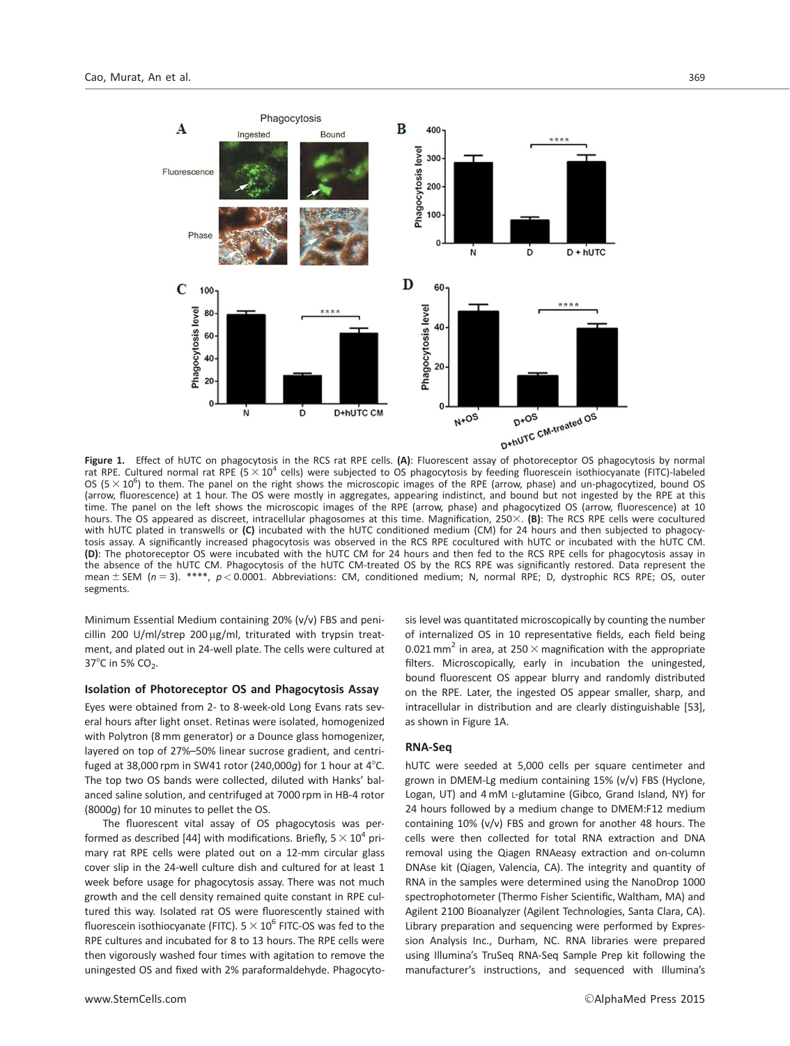

Figure 1. Effect of hUTC on phagocytosis in the RCS rat RPE cells. (A): Fluorescent assay of photoreceptor OS phagocytosis by normal rat RPE. Cultured normal rat RPE (5  $\times$  10<sup>4</sup> cells) were subjected to OS phagocytosis by feeding fluorescein isothiocyanate (FITC)-labeled OS  $(5 \times 10^6)$  to them. The panel on the right shows the microscopic images of the RPE (arrow, phase) and un-phagocytized, bound OS (arrow, fluorescence) at 1 hour. The OS were mostly in aggregates, appearing indistinct, and bound but not ingested by the RPE at this time. The panel on the left shows the microscopic images of the RPE (arrow, phase) and phagocytized OS (arrow, fluorescence) at 10 hours. The OS appeared as discreet, intracellular phagosomes at this time. Magnification, 250X. (B): The RCS RPE cells were cocultured with hUTC plated in transwells or (C) incubated with the hUTC conditioned medium (CM) for 24 hours and then subjected to phagocytosis assay. A significantly increased phagocytosis was observed in the RCS RPE cocultured with hUTC or incubated with the hUTC CM. (D): The photoreceptor OS were incubated with the hUTC CM for 24 hours and then fed to the RCS RPE cells for phagocytosis assay in the absence of the hUTC CM. Phagocytosis of the hUTC CM-treated OS by the RCS RPE was significantly restored. Data represent the mean  $\pm$  SEM ( $n = 3$ ). \*\*\*\*,  $p < 0.0001$ . Abbreviations: CM, conditioned medium; N, normal RPE; D, dystrophic RCS RPE; OS, outer segments.

Minimum Essential Medium containing 20% (v/v) FBS and penicillin 200 U/ml/strep 200  $\mu$ g/ml, triturated with trypsin treatment, and plated out in 24-well plate. The cells were cultured at  $37^{\circ}$ C in 5% CO<sub>2</sub>.

## Isolation of Photoreceptor OS and Phagocytosis Assay

Eyes were obtained from 2- to 8-week-old Long Evans rats several hours after light onset. Retinas were isolated, homogenized with Polytron (8 mm generator) or a Dounce glass homogenizer, layered on top of 27%–50% linear sucrose gradient, and centrifuged at 38,000 rpm in SW41 rotor (240,000g) for 1 hour at  $4^{\circ}$ C. The top two OS bands were collected, diluted with Hanks' balanced saline solution, and centrifuged at 7000 rpm in HB-4 rotor (8000g) for 10 minutes to pellet the OS.

The fluorescent vital assay of OS phagocytosis was performed as described [44] with modifications. Briefly,  $5 \times 10^4$  primary rat RPE cells were plated out on a 12-mm circular glass cover slip in the 24-well culture dish and cultured for at least 1 week before usage for phagocytosis assay. There was not much growth and the cell density remained quite constant in RPE cultured this way. Isolated rat OS were fluorescently stained with fluorescein isothiocyanate (FITC).  $5 \times 10^6$  FITC-OS was fed to the RPE cultures and incubated for 8 to 13 hours. The RPE cells were then vigorously washed four times with agitation to remove the uningested OS and fixed with 2% paraformaldehyde. Phagocytosis level was quantitated microscopically by counting the number of internalized OS in 10 representative fields, each field being 0.021 mm<sup>2</sup> in area, at 250  $\times$  magnification with the appropriate filters. Microscopically, early in incubation the uningested, bound fluorescent OS appear blurry and randomly distributed on the RPE. Later, the ingested OS appear smaller, sharp, and intracellular in distribution and are clearly distinguishable [53], as shown in Figure 1A.

## RNA-Seq

hUTC were seeded at 5,000 cells per square centimeter and grown in DMEM-Lg medium containing 15% (v/v) FBS (Hyclone, Logan, UT) and 4 mM L-glutamine (Gibco, Grand Island, NY) for 24 hours followed by a medium change to DMEM:F12 medium containing 10% (v/v) FBS and grown for another 48 hours. The cells were then collected for total RNA extraction and DNA removal using the Qiagen RNAeasy extraction and on-column DNAse kit (Qiagen, Valencia, CA). The integrity and quantity of RNA in the samples were determined using the NanoDrop 1000 spectrophotometer (Thermo Fisher Scientific, Waltham, MA) and Agilent 2100 Bioanalyzer (Agilent Technologies, Santa Clara, CA). Library preparation and sequencing were performed by Expression Analysis Inc., Durham, NC. RNA libraries were prepared using Illumina's TruSeq RNA-Seq Sample Prep kit following the manufacturer's instructions, and sequenced with Illumina's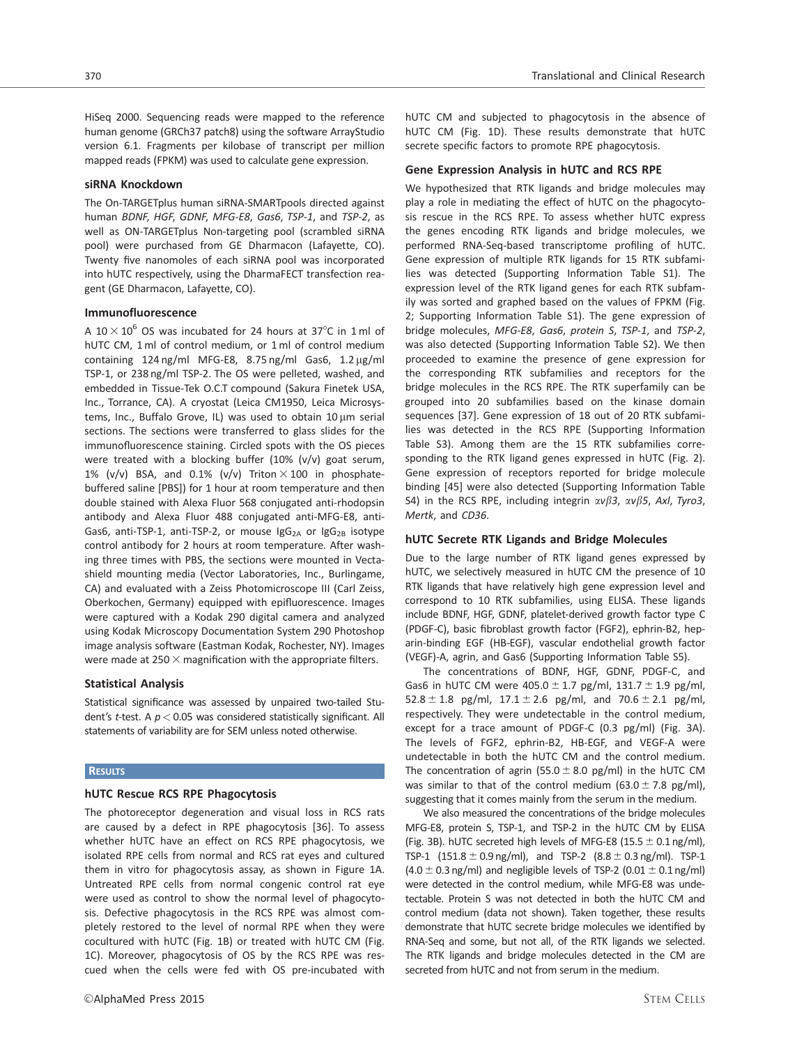HiSeq 2000. Sequencing reads were mapped to the reference human genome (GRCh37 patch8) using the software ArrayStudio version 6.1. Fragments per kilobase of transcript per million mapped reads (FPKM) was used to calculate gene expression.

## siRNA Knockdown

The On-TARGETplus human siRNA-SMARTpools directed against human BDNF, HGF, GDNF, MFG-E8, Gas6, TSP-1, and TSP-2, as well as ON-TARGETplus Non-targeting pool (scrambled siRNA pool) were purchased from GE Dharmacon (Lafayette, CO). Twenty five nanomoles of each siRNA pool was incorporated into hUTC respectively, using the DharmaFECT transfection reagent (GE Dharmacon, Lafayette, CO).

## Immunofluorescence

A  $10 \times 10^6$  OS was incubated for 24 hours at 37°C in 1 ml of hUTC CM, 1 ml of control medium, or 1 ml of control medium containing  $124$  ng/ml MFG-E8, 8.75 ng/ml Gas6,  $1.2 \,\mu$ g/ml TSP-1, or 238 ng/ml TSP-2. The OS were pelleted, washed, and embedded in Tissue-Tek O.C.T compound (Sakura Finetek USA, Inc., Torrance, CA). A cryostat (Leica CM1950, Leica Microsystems, Inc., Buffalo Grove, IL) was used to obtain  $10 \mu m$  serial sections. The sections were transferred to glass slides for the immunofluorescence staining. Circled spots with the OS pieces were treated with a blocking buffer (10% (v/v) goat serum, 1% (v/v) BSA, and 0.1% (v/v) Triton  $\times$  100 in phosphatebuffered saline [PBS]) for 1 hour at room temperature and then double stained with Alexa Fluor 568 conjugated anti-rhodopsin antibody and Alexa Fluor 488 conjugated anti-MFG-E8, anti-Gas6, anti-TSP-1, anti-TSP-2, or mouse  $\text{lgG}_{2A}$  or  $\text{lgG}_{2B}$  isotype control antibody for 2 hours at room temperature. After washing three times with PBS, the sections were mounted in Vectashield mounting media (Vector Laboratories, Inc., Burlingame, CA) and evaluated with a Zeiss Photomicroscope III (Carl Zeiss, Oberkochen, Germany) equipped with epifluorescence. Images were captured with a Kodak 290 digital camera and analyzed using Kodak Microscopy Documentation System 290 Photoshop image analysis software (Eastman Kodak, Rochester, NY). Images were made at  $250 \times$  magnification with the appropriate filters.

## Statistical Analysis

Statistical significance was assessed by unpaired two-tailed Student's t-test. A  $p < 0.05$  was considered statistically significant. All statements of variability are for SEM unless noted otherwise.

#### **RESULTS**

## hUTC Rescue RCS RPE Phagocytosis

The photoreceptor degeneration and visual loss in RCS rats are caused by a defect in RPE phagocytosis [36]. To assess whether hUTC have an effect on RCS RPE phagocytosis, we isolated RPE cells from normal and RCS rat eyes and cultured them in vitro for phagocytosis assay, as shown in Figure 1A. Untreated RPE cells from normal congenic control rat eye were used as control to show the normal level of phagocytosis. Defective phagocytosis in the RCS RPE was almost completely restored to the level of normal RPE when they were cocultured with hUTC (Fig. 1B) or treated with hUTC CM (Fig. 1C). Moreover, phagocytosis of OS by the RCS RPE was rescued when the cells were fed with OS pre-incubated with

hUTC CM and subjected to phagocytosis in the absence of hUTC CM (Fig. 1D). These results demonstrate that hUTC secrete specific factors to promote RPE phagocytosis.

## Gene Expression Analysis in hUTC and RCS RPE

We hypothesized that RTK ligands and bridge molecules may play a role in mediating the effect of hUTC on the phagocytosis rescue in the RCS RPE. To assess whether hUTC express the genes encoding RTK ligands and bridge molecules, we performed RNA-Seq-based transcriptome profiling of hUTC. Gene expression of multiple RTK ligands for 15 RTK subfamilies was detected (Supporting Information Table S1). The expression level of the RTK ligand genes for each RTK subfamily was sorted and graphed based on the values of FPKM (Fig. 2; Supporting Information Table S1). The gene expression of bridge molecules, MFG-E8, Gas6, protein S, TSP-1, and TSP-2, was also detected (Supporting Information Table S2). We then proceeded to examine the presence of gene expression for the corresponding RTK subfamilies and receptors for the bridge molecules in the RCS RPE. The RTK superfamily can be grouped into 20 subfamilies based on the kinase domain sequences [37]. Gene expression of 18 out of 20 RTK subfamilies was detected in the RCS RPE (Supporting Information Table S3). Among them are the 15 RTK subfamilies corresponding to the RTK ligand genes expressed in hUTC (Fig. 2). Gene expression of receptors reported for bridge molecule binding [45] were also detected (Supporting Information Table S4) in the RCS RPE, including integrin  $\alpha v \beta 3$ ,  $\alpha v \beta 5$ , Axl, Tyro3, Mertk, and CD36.

## hUTC Secrete RTK Ligands and Bridge Molecules

Due to the large number of RTK ligand genes expressed by hUTC, we selectively measured in hUTC CM the presence of 10 RTK ligands that have relatively high gene expression level and correspond to 10 RTK subfamilies, using ELISA. These ligands include BDNF, HGF, GDNF, platelet-derived growth factor type C (PDGF-C), basic fibroblast growth factor (FGF2), ephrin-B2, heparin-binding EGF (HB-EGF), vascular endothelial growth factor (VEGF)-A, agrin, and Gas6 (Supporting Information Table S5).

The concentrations of BDNF, HGF, GDNF, PDGF-C, and Gas6 in hUTC CM were  $405.0 \pm 1.7$  pg/ml,  $131.7 \pm 1.9$  pg/ml, 52.8  $\pm$  1.8 pg/ml, 17.1  $\pm$  2.6 pg/ml, and 70.6  $\pm$  2.1 pg/ml, respectively. They were undetectable in the control medium, except for a trace amount of PDGF-C (0.3 pg/ml) (Fig. 3A). The levels of FGF2, ephrin-B2, HB-EGF, and VEGF-A were undetectable in both the hUTC CM and the control medium. The concentration of agrin (55.0  $\pm$  8.0 pg/ml) in the hUTC CM was similar to that of the control medium (63.0  $\pm$  7.8 pg/ml), suggesting that it comes mainly from the serum in the medium.

We also measured the concentrations of the bridge molecules MFG-E8, protein S, TSP-1, and TSP-2 in the hUTC CM by ELISA (Fig. 3B). hUTC secreted high levels of MFG-E8 (15.5  $\pm$  0.1 ng/ml), TSP-1  $(151.8 \pm 0.9 \text{ ng/ml})$ , and TSP-2  $(8.8 \pm 0.3 \text{ ng/ml})$ . TSP-1  $(4.0 \pm 0.3 \,\text{ng/ml})$  and negligible levels of TSP-2  $(0.01 \pm 0.1 \,\text{ng/ml})$ were detected in the control medium, while MFG-E8 was undetectable. Protein S was not detected in both the hUTC CM and control medium (data not shown). Taken together, these results demonstrate that hUTC secrete bridge molecules we identified by RNA-Seq and some, but not all, of the RTK ligands we selected. The RTK ligands and bridge molecules detected in the CM are secreted from hUTC and not from serum in the medium.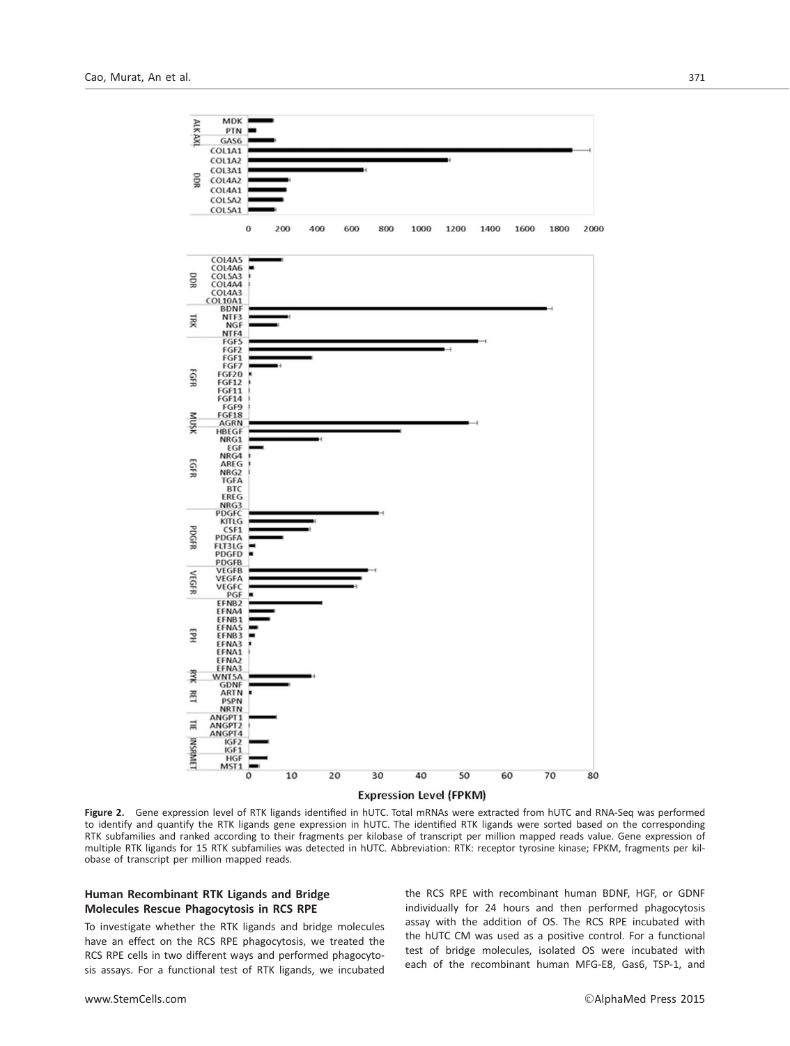

Figure 2. Gene expression level of RTK ligands identified in hUTC. Total mRNAs were extracted from hUTC and RNA-Seq was performed to identify and quantify the RTK ligands gene expression in hUTC. The identified RTK ligands were sorted based on the corresponding RTK subfamilies and ranked according to their fragments per kilobase of transcript per million mapped reads value. Gene expression of multiple RTK ligands for 15 RTK subfamilies was detected in hUTC. Abbreviation: RTK: receptor tyrosine kinase; FPKM, fragments per kilobase of transcript per million mapped reads.

## Human Recombinant RTK Ligands and Bridge Molecules Rescue Phagocytosis in RCS RPE

To investigate whether the RTK ligands and bridge molecules have an effect on the RCS RPE phagocytosis, we treated the RCS RPE cells in two different ways and performed phagocytosis assays. For a functional test of RTK ligands, we incubated

the RCS RPE with recombinant human BDNF, HGF, or GDNF individually for 24 hours and then performed phagocytosis assay with the addition of OS. The RCS RPE incubated with the hUTC CM was used as a positive control. For a functional test of bridge molecules, isolated OS were incubated with each of the recombinant human MFG-E8, Gas6, TSP-1, and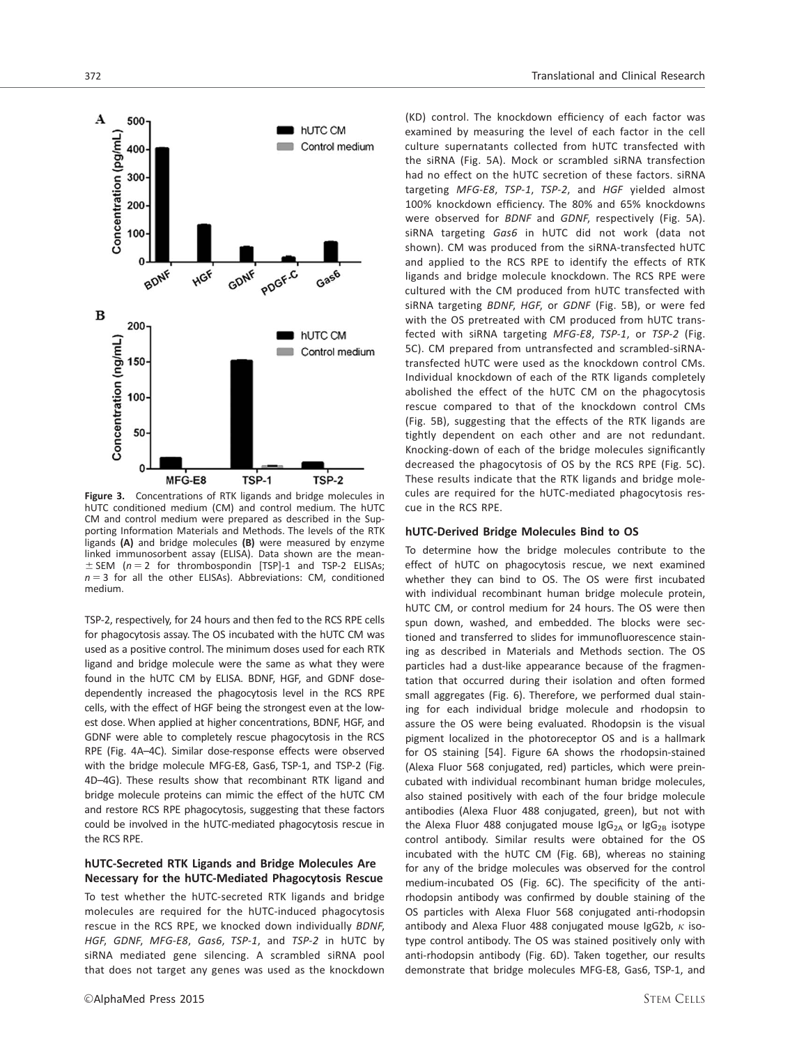

Figure 3. Concentrations of RTK ligands and bridge molecules in hUTC conditioned medium (CM) and control medium. The hUTC CM and control medium were prepared as described in the Supporting Information Materials and Methods. The levels of the RTK ligands (A) and bridge molecules (B) were measured by enzyme linked immunosorbent assay (ELISA). Data shown are the mean- $\pm$  SEM (n = 2 for thrombospondin [TSP]-1 and TSP-2 ELISAs;  $n = 3$  for all the other ELISAs). Abbreviations: CM, conditioned medium.

TSP-2, respectively, for 24 hours and then fed to the RCS RPE cells for phagocytosis assay. The OS incubated with the hUTC CM was used as a positive control. The minimum doses used for each RTK ligand and bridge molecule were the same as what they were found in the hUTC CM by ELISA. BDNF, HGF, and GDNF dosedependently increased the phagocytosis level in the RCS RPE cells, with the effect of HGF being the strongest even at the lowest dose. When applied at higher concentrations, BDNF, HGF, and GDNF were able to completely rescue phagocytosis in the RCS RPE (Fig. 4A–4C). Similar dose-response effects were observed with the bridge molecule MFG-E8, Gas6, TSP-1, and TSP-2 (Fig. 4D–4G). These results show that recombinant RTK ligand and bridge molecule proteins can mimic the effect of the hUTC CM and restore RCS RPE phagocytosis, suggesting that these factors could be involved in the hUTC-mediated phagocytosis rescue in the RCS RPE.

## hUTC-Secreted RTK Ligands and Bridge Molecules Are Necessary for the hUTC-Mediated Phagocytosis Rescue

To test whether the hUTC-secreted RTK ligands and bridge molecules are required for the hUTC-induced phagocytosis rescue in the RCS RPE, we knocked down individually BDNF, HGF, GDNF, MFG-E8, Gas6, TSP-1, and TSP-2 in hUTC by siRNA mediated gene silencing. A scrambled siRNA pool that does not target any genes was used as the knockdown

(KD) control. The knockdown efficiency of each factor was examined by measuring the level of each factor in the cell culture supernatants collected from hUTC transfected with the siRNA (Fig. 5A). Mock or scrambled siRNA transfection had no effect on the hUTC secretion of these factors. siRNA targeting MFG-E8, TSP-1, TSP-2, and HGF yielded almost 100% knockdown efficiency. The 80% and 65% knockdowns were observed for BDNF and GDNF, respectively (Fig. 5A). siRNA targeting Gas6 in hUTC did not work (data not shown). CM was produced from the siRNA-transfected hUTC and applied to the RCS RPE to identify the effects of RTK ligands and bridge molecule knockdown. The RCS RPE were cultured with the CM produced from hUTC transfected with siRNA targeting BDNF, HGF, or GDNF (Fig. 5B), or were fed with the OS pretreated with CM produced from hUTC transfected with siRNA targeting MFG-E8, TSP-1, or TSP-2 (Fig. 5C). CM prepared from untransfected and scrambled-siRNAtransfected hUTC were used as the knockdown control CMs. Individual knockdown of each of the RTK ligands completely abolished the effect of the hUTC CM on the phagocytosis rescue compared to that of the knockdown control CMs (Fig. 5B), suggesting that the effects of the RTK ligands are tightly dependent on each other and are not redundant. Knocking-down of each of the bridge molecules significantly decreased the phagocytosis of OS by the RCS RPE (Fig. 5C). These results indicate that the RTK ligands and bridge molecules are required for the hUTC-mediated phagocytosis rescue in the RCS RPE.

#### hUTC-Derived Bridge Molecules Bind to OS

To determine how the bridge molecules contribute to the effect of hUTC on phagocytosis rescue, we next examined whether they can bind to OS. The OS were first incubated with individual recombinant human bridge molecule protein, hUTC CM, or control medium for 24 hours. The OS were then spun down, washed, and embedded. The blocks were sectioned and transferred to slides for immunofluorescence staining as described in Materials and Methods section. The OS particles had a dust-like appearance because of the fragmentation that occurred during their isolation and often formed small aggregates (Fig. 6). Therefore, we performed dual staining for each individual bridge molecule and rhodopsin to assure the OS were being evaluated. Rhodopsin is the visual pigment localized in the photoreceptor OS and is a hallmark for OS staining [54]. Figure 6A shows the rhodopsin-stained (Alexa Fluor 568 conjugated, red) particles, which were preincubated with individual recombinant human bridge molecules, also stained positively with each of the four bridge molecule antibodies (Alexa Fluor 488 conjugated, green), but not with the Alexa Fluor 488 conjugated mouse IgG<sub>2A</sub> or IgG<sub>2B</sub> isotype control antibody. Similar results were obtained for the OS incubated with the hUTC CM (Fig. 6B), whereas no staining for any of the bridge molecules was observed for the control medium-incubated OS (Fig. 6C). The specificity of the antirhodopsin antibody was confirmed by double staining of the OS particles with Alexa Fluor 568 conjugated anti-rhodopsin antibody and Alexa Fluor 488 conjugated mouse IgG2b,  $\kappa$  isotype control antibody. The OS was stained positively only with anti-rhodopsin antibody (Fig. 6D). Taken together, our results demonstrate that bridge molecules MFG-E8, Gas6, TSP-1, and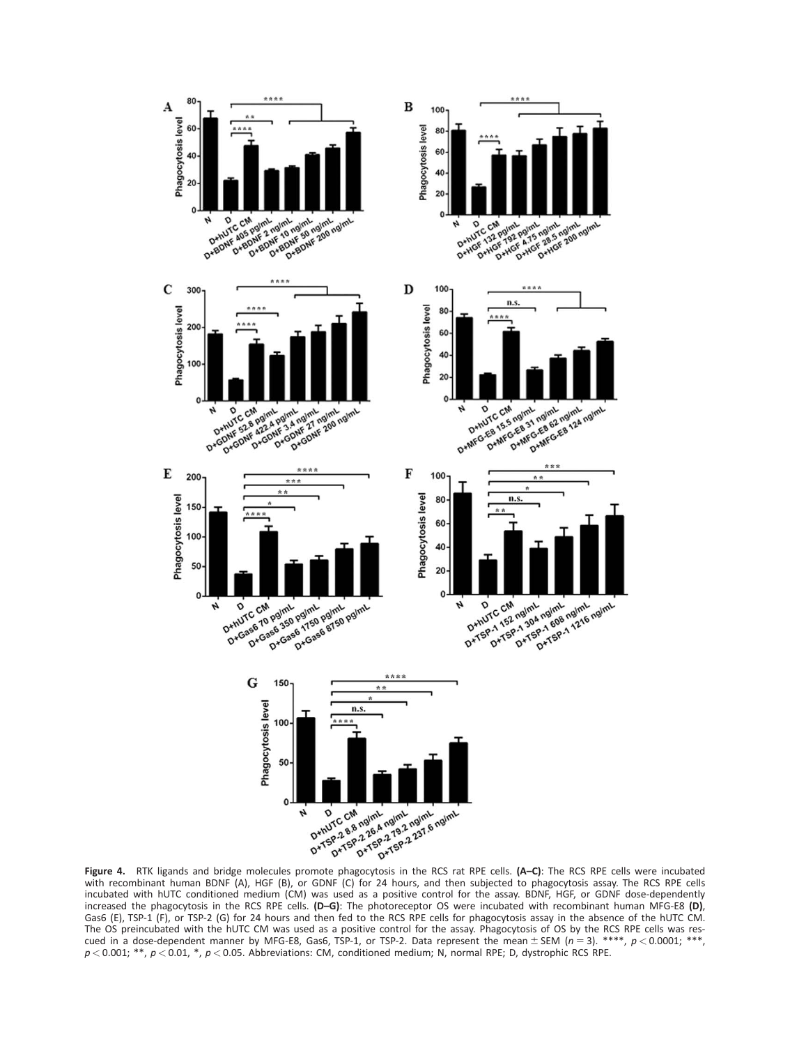

with recombinant human BDNF (A), HGF (B), or GDNF (C) for 24 hours, and then subjected to phagocytosis assay. The RCS RPE cells incubated with hUTC conditioned medium (CM) was used as a positive control for the assay. BDNF, HGF, or GDNF dose-dependently increased the phagocytosis in the RCS RPE cells. (D–G): The photoreceptor OS were incubated with recombinant human MFG-E8 (D), Gas6 (E), TSP-1 (F), or TSP-2 (G) for 24 hours and then fed to the RCS RPE cells for phagocytosis assay in the absence of the hUTC CM. The OS preincubated with the hUTC CM was used as a positive control for the assay. Phagocytosis of OS by the RCS RPE cells was rescued in a dose-dependent manner by MFG-E8, Gas6, TSP-1, or TSP-2. Data represent the mean  $\pm$  SEM (n = 3). \*\*\*\*, p < 0.0001; \*\*\*,  $p < 0.001$ ; \*\*,  $p < 0.01$ , \*,  $p < 0.05$ . Abbreviations: CM, conditioned medium; N, normal RPE; D, dystrophic RCS RPE.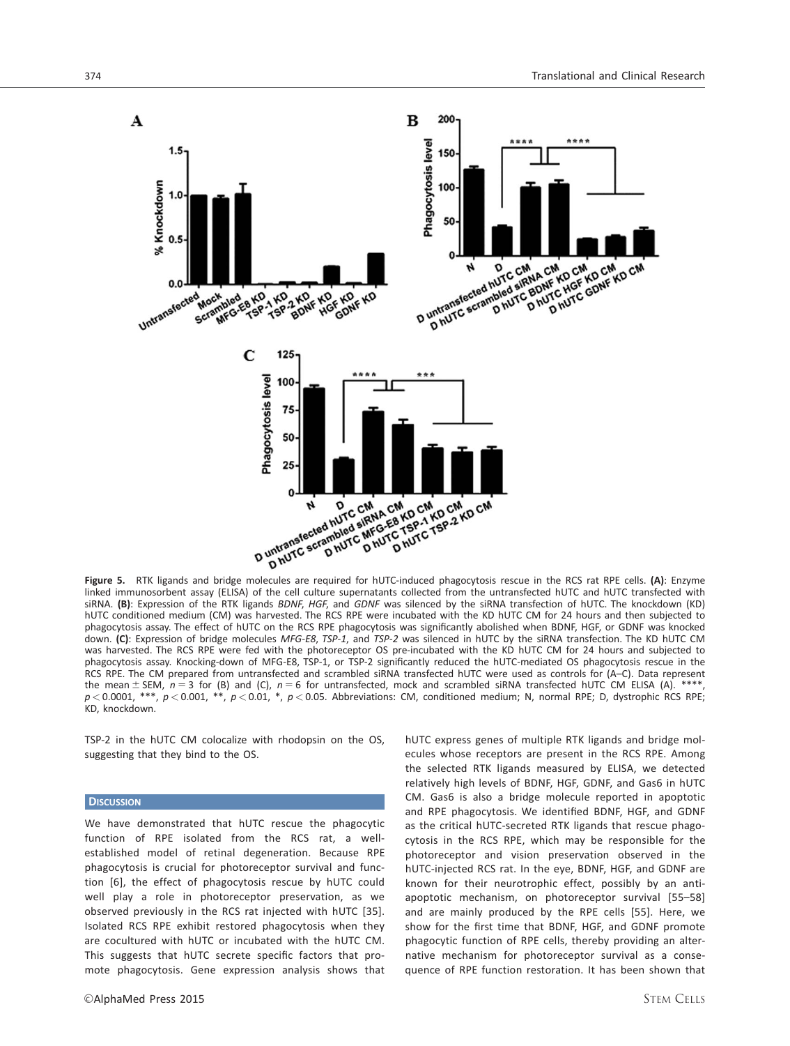

linked immunosorbent assay (ELISA) of the cell culture supernatants collected from the untransfected hUTC and hUTC transfected with siRNA. (B): Expression of the RTK ligands BDNF, HGF, and GDNF was silenced by the siRNA transfection of hUTC. The knockdown (KD) hUTC conditioned medium (CM) was harvested. The RCS RPE were incubated with the KD hUTC CM for 24 hours and then subjected to phagocytosis assay. The effect of hUTC on the RCS RPE phagocytosis was significantly abolished when BDNF, HGF, or GDNF was knocked down. (C): Expression of bridge molecules MFG-E8, TSP-1, and TSP-2 was silenced in hUTC by the siRNA transfection. The KD hUTC CM was harvested. The RCS RPE were fed with the photoreceptor OS pre-incubated with the KD hUTC CM for 24 hours and subjected to phagocytosis assay. Knocking-down of MFG-E8, TSP-1, or TSP-2 significantly reduced the hUTC-mediated OS phagocytosis rescue in the RCS RPE. The CM prepared from untransfected and scrambled siRNA transfected hUTC were used as controls for (A–C). Data represent the mean  $\pm$  SEM,  $n = 3$  for (B) and (C),  $n = 6$  for untransfected, mock and scrambled siRNA transfected hUTC CM ELISA (A). \*\*\*\*  $p < 0.0001$ , \*\*\*,  $p < 0.001$ , \*\*,  $p < 0.01$ , \*,  $p < 0.05$ . Abbreviations: CM, conditioned medium; N, normal RPE; D, dystrophic RCS RPE; KD, knockdown.

TSP-2 in the hUTC CM colocalize with rhodopsin on the OS, suggesting that they bind to the OS.

## **DISCUSSION**

We have demonstrated that hUTC rescue the phagocytic function of RPE isolated from the RCS rat, a wellestablished model of retinal degeneration. Because RPE phagocytosis is crucial for photoreceptor survival and function [6], the effect of phagocytosis rescue by hUTC could well play a role in photoreceptor preservation, as we observed previously in the RCS rat injected with hUTC [35]. Isolated RCS RPE exhibit restored phagocytosis when they are cocultured with hUTC or incubated with the hUTC CM. This suggests that hUTC secrete specific factors that promote phagocytosis. Gene expression analysis shows that

hUTC express genes of multiple RTK ligands and bridge molecules whose receptors are present in the RCS RPE. Among the selected RTK ligands measured by ELISA, we detected relatively high levels of BDNF, HGF, GDNF, and Gas6 in hUTC CM. Gas6 is also a bridge molecule reported in apoptotic and RPE phagocytosis. We identified BDNF, HGF, and GDNF as the critical hUTC-secreted RTK ligands that rescue phagocytosis in the RCS RPE, which may be responsible for the photoreceptor and vision preservation observed in the hUTC-injected RCS rat. In the eye, BDNF, HGF, and GDNF are known for their neurotrophic effect, possibly by an antiapoptotic mechanism, on photoreceptor survival [55–58] and are mainly produced by the RPE cells [55]. Here, we show for the first time that BDNF, HGF, and GDNF promote phagocytic function of RPE cells, thereby providing an alternative mechanism for photoreceptor survival as a consequence of RPE function restoration. It has been shown that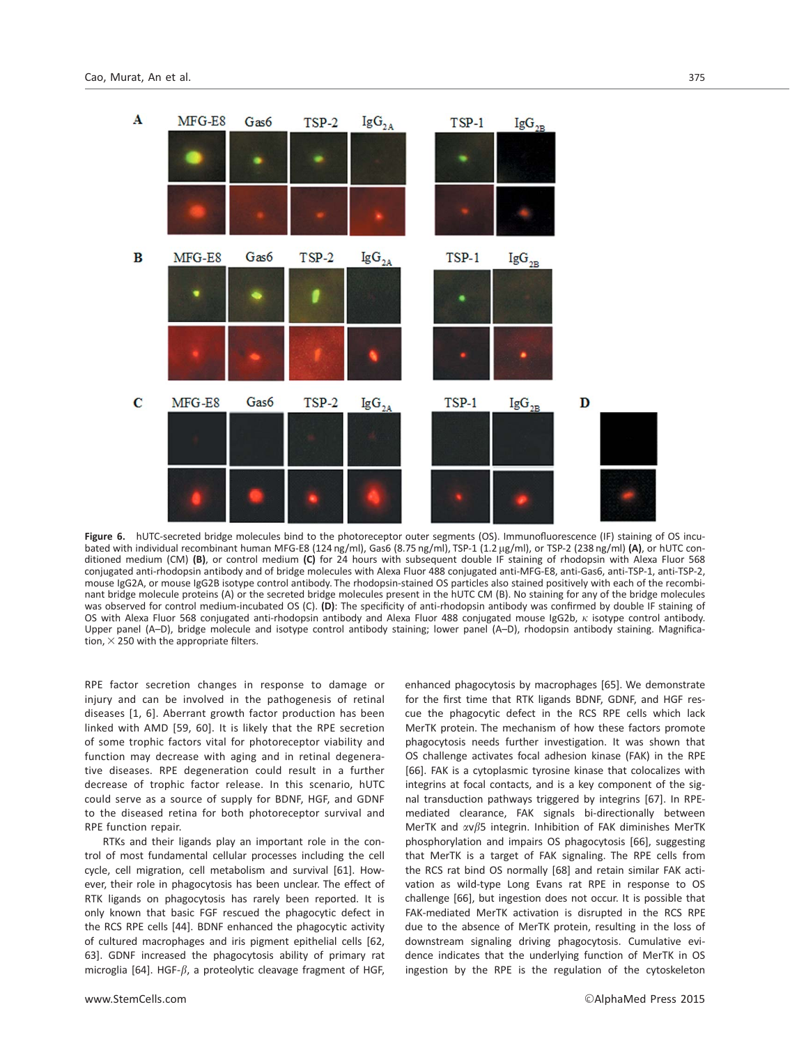

Figure 6. hUTC-secreted bridge molecules bind to the photoreceptor outer segments (OS). Immunofluorescence (IF) staining of OS incubated with individual recombinant human MFG-E8 (124 ng/ml), Gas6 (8.75 ng/ml), TSP-1 (1.2 µg/ml), or TSP-2 (238 ng/ml) (A), or hUTC conditioned medium (CM) (B), or control medium (C) for 24 hours with subsequent double IF staining of rhodopsin with Alexa Fluor 568 conjugated anti-rhodopsin antibody and of bridge molecules with Alexa Fluor 488 conjugated anti-MFG-E8, anti-Gas6, anti-TSP-1, anti-TSP-2, mouse IgG2A, or mouse IgG2B isotype control antibody. The rhodopsin-stained OS particles also stained positively with each of the recombinant bridge molecule proteins (A) or the secreted bridge molecules present in the hUTC CM (B). No staining for any of the bridge molecules was observed for control medium-incubated OS (C). (D): The specificity of anti-rhodopsin antibody was confirmed by double IF staining of OS with Alexa Fluor 568 conjugated anti-rhodopsin antibody and Alexa Fluor 488 conjugated mouse IgG2b,  $\kappa$  isotype control antibody. Upper panel (A–D), bridge molecule and isotype control antibody staining; lower panel (A–D), rhodopsin antibody staining. Magnification,  $\times$  250 with the appropriate filters.

RPE factor secretion changes in response to damage or injury and can be involved in the pathogenesis of retinal diseases [1, 6]. Aberrant growth factor production has been linked with AMD [59, 60]. It is likely that the RPE secretion of some trophic factors vital for photoreceptor viability and function may decrease with aging and in retinal degenerative diseases. RPE degeneration could result in a further decrease of trophic factor release. In this scenario, hUTC could serve as a source of supply for BDNF, HGF, and GDNF to the diseased retina for both photoreceptor survival and RPE function repair.

RTKs and their ligands play an important role in the control of most fundamental cellular processes including the cell cycle, cell migration, cell metabolism and survival [61]. However, their role in phagocytosis has been unclear. The effect of RTK ligands on phagocytosis has rarely been reported. It is only known that basic FGF rescued the phagocytic defect in the RCS RPE cells [44]. BDNF enhanced the phagocytic activity of cultured macrophages and iris pigment epithelial cells [62, 63]. GDNF increased the phagocytosis ability of primary rat microglia [64]. HGF- $\beta$ , a proteolytic cleavage fragment of HGF,

enhanced phagocytosis by macrophages [65]. We demonstrate for the first time that RTK ligands BDNF, GDNF, and HGF rescue the phagocytic defect in the RCS RPE cells which lack MerTK protein. The mechanism of how these factors promote phagocytosis needs further investigation. It was shown that OS challenge activates focal adhesion kinase (FAK) in the RPE [66]. FAK is a cytoplasmic tyrosine kinase that colocalizes with integrins at focal contacts, and is a key component of the signal transduction pathways triggered by integrins [67]. In RPEmediated clearance, FAK signals bi-directionally between MerTK and  $\alpha v\beta$ 5 integrin. Inhibition of FAK diminishes MerTK phosphorylation and impairs OS phagocytosis [66], suggesting that MerTK is a target of FAK signaling. The RPE cells from the RCS rat bind OS normally [68] and retain similar FAK activation as wild-type Long Evans rat RPE in response to OS challenge [66], but ingestion does not occur. It is possible that FAK-mediated MerTK activation is disrupted in the RCS RPE due to the absence of MerTK protein, resulting in the loss of downstream signaling driving phagocytosis. Cumulative evidence indicates that the underlying function of MerTK in OS ingestion by the RPE is the regulation of the cytoskeleton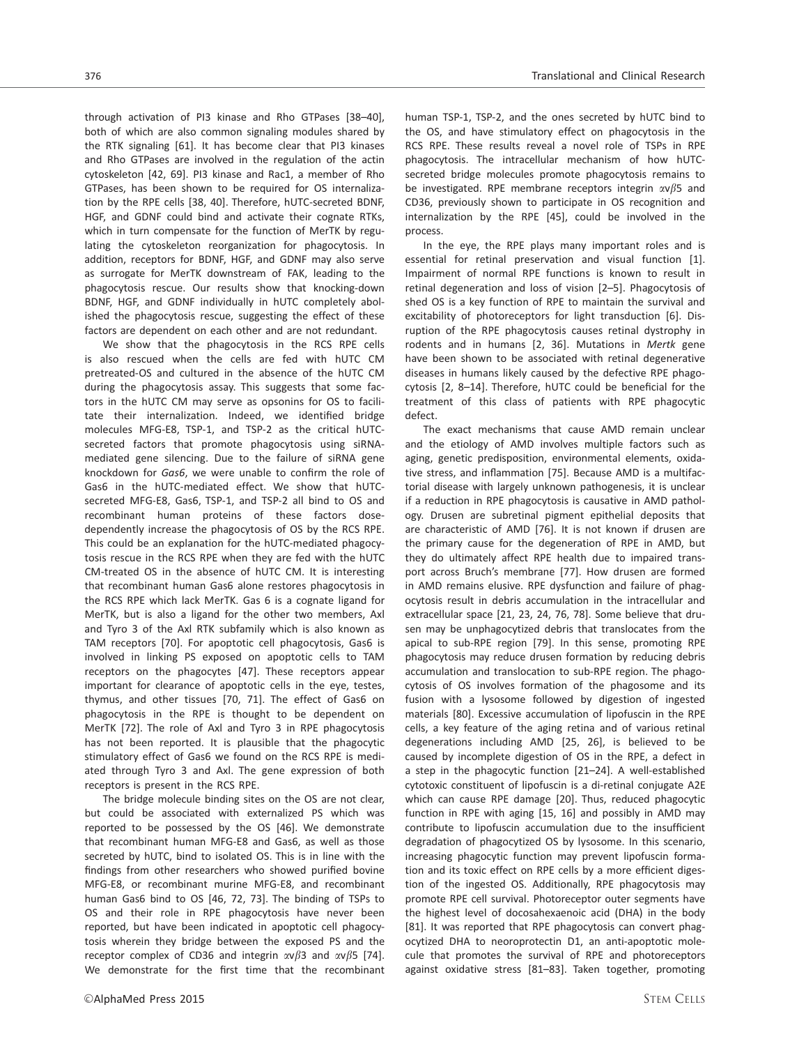through activation of PI3 kinase and Rho GTPases [38–40], both of which are also common signaling modules shared by the RTK signaling [61]. It has become clear that PI3 kinases and Rho GTPases are involved in the regulation of the actin cytoskeleton [42, 69]. PI3 kinase and Rac1, a member of Rho GTPases, has been shown to be required for OS internalization by the RPE cells [38, 40]. Therefore, hUTC-secreted BDNF, HGF, and GDNF could bind and activate their cognate RTKs, which in turn compensate for the function of MerTK by regulating the cytoskeleton reorganization for phagocytosis. In addition, receptors for BDNF, HGF, and GDNF may also serve as surrogate for MerTK downstream of FAK, leading to the phagocytosis rescue. Our results show that knocking-down BDNF, HGF, and GDNF individually in hUTC completely abolished the phagocytosis rescue, suggesting the effect of these factors are dependent on each other and are not redundant.

We show that the phagocytosis in the RCS RPE cells is also rescued when the cells are fed with hUTC CM pretreated-OS and cultured in the absence of the hUTC CM during the phagocytosis assay. This suggests that some factors in the hUTC CM may serve as opsonins for OS to facilitate their internalization. Indeed, we identified bridge molecules MFG-E8, TSP-1, and TSP-2 as the critical hUTCsecreted factors that promote phagocytosis using siRNAmediated gene silencing. Due to the failure of siRNA gene knockdown for Gas6, we were unable to confirm the role of Gas6 in the hUTC-mediated effect. We show that hUTCsecreted MFG-E8, Gas6, TSP-1, and TSP-2 all bind to OS and recombinant human proteins of these factors dosedependently increase the phagocytosis of OS by the RCS RPE. This could be an explanation for the hUTC-mediated phagocytosis rescue in the RCS RPE when they are fed with the hUTC CM-treated OS in the absence of hUTC CM. It is interesting that recombinant human Gas6 alone restores phagocytosis in the RCS RPE which lack MerTK. Gas 6 is a cognate ligand for MerTK, but is also a ligand for the other two members, Axl and Tyro 3 of the Axl RTK subfamily which is also known as TAM receptors [70]. For apoptotic cell phagocytosis, Gas6 is involved in linking PS exposed on apoptotic cells to TAM receptors on the phagocytes [47]. These receptors appear important for clearance of apoptotic cells in the eye, testes, thymus, and other tissues [70, 71]. The effect of Gas6 on phagocytosis in the RPE is thought to be dependent on MerTK [72]. The role of Axl and Tyro 3 in RPE phagocytosis has not been reported. It is plausible that the phagocytic stimulatory effect of Gas6 we found on the RCS RPE is mediated through Tyro 3 and Axl. The gene expression of both receptors is present in the RCS RPE.

The bridge molecule binding sites on the OS are not clear, but could be associated with externalized PS which was reported to be possessed by the OS [46]. We demonstrate that recombinant human MFG-E8 and Gas6, as well as those secreted by hUTC, bind to isolated OS. This is in line with the findings from other researchers who showed purified bovine MFG-E8, or recombinant murine MFG-E8, and recombinant human Gas6 bind to OS [46, 72, 73]. The binding of TSPs to OS and their role in RPE phagocytosis have never been reported, but have been indicated in apoptotic cell phagocytosis wherein they bridge between the exposed PS and the receptor complex of CD36 and integrin  $\alpha \nu \beta$ 3 and  $\alpha \nu \beta$ 5 [74]. We demonstrate for the first time that the recombinant

human TSP-1, TSP-2, and the ones secreted by hUTC bind to the OS, and have stimulatory effect on phagocytosis in the RCS RPE. These results reveal a novel role of TSPs in RPE phagocytosis. The intracellular mechanism of how hUTCsecreted bridge molecules promote phagocytosis remains to be investigated. RPE membrane receptors integrin  $\alpha v \beta$ 5 and CD36, previously shown to participate in OS recognition and internalization by the RPE [45], could be involved in the process.

In the eye, the RPE plays many important roles and is essential for retinal preservation and visual function [1]. Impairment of normal RPE functions is known to result in retinal degeneration and loss of vision [2–5]. Phagocytosis of shed OS is a key function of RPE to maintain the survival and excitability of photoreceptors for light transduction [6]. Disruption of the RPE phagocytosis causes retinal dystrophy in rodents and in humans [2, 36]. Mutations in Mertk gene have been shown to be associated with retinal degenerative diseases in humans likely caused by the defective RPE phagocytosis [2, 8–14]. Therefore, hUTC could be beneficial for the treatment of this class of patients with RPE phagocytic defect.

The exact mechanisms that cause AMD remain unclear and the etiology of AMD involves multiple factors such as aging, genetic predisposition, environmental elements, oxidative stress, and inflammation [75]. Because AMD is a multifactorial disease with largely unknown pathogenesis, it is unclear if a reduction in RPE phagocytosis is causative in AMD pathology. Drusen are subretinal pigment epithelial deposits that are characteristic of AMD [76]. It is not known if drusen are the primary cause for the degeneration of RPE in AMD, but they do ultimately affect RPE health due to impaired transport across Bruch's membrane [77]. How drusen are formed in AMD remains elusive. RPE dysfunction and failure of phagocytosis result in debris accumulation in the intracellular and extracellular space [21, 23, 24, 76, 78]. Some believe that drusen may be unphagocytized debris that translocates from the apical to sub-RPE region [79]. In this sense, promoting RPE phagocytosis may reduce drusen formation by reducing debris accumulation and translocation to sub-RPE region. The phagocytosis of OS involves formation of the phagosome and its fusion with a lysosome followed by digestion of ingested materials [80]. Excessive accumulation of lipofuscin in the RPE cells, a key feature of the aging retina and of various retinal degenerations including AMD [25, 26], is believed to be caused by incomplete digestion of OS in the RPE, a defect in a step in the phagocytic function [21–24]. A well-established cytotoxic constituent of lipofuscin is a di-retinal conjugate A2E which can cause RPE damage [20]. Thus, reduced phagocytic function in RPE with aging [15, 16] and possibly in AMD may contribute to lipofuscin accumulation due to the insufficient degradation of phagocytized OS by lysosome. In this scenario, increasing phagocytic function may prevent lipofuscin formation and its toxic effect on RPE cells by a more efficient digestion of the ingested OS. Additionally, RPE phagocytosis may promote RPE cell survival. Photoreceptor outer segments have the highest level of docosahexaenoic acid (DHA) in the body [81]. It was reported that RPE phagocytosis can convert phagocytized DHA to neoroprotectin D1, an anti-apoptotic molecule that promotes the survival of RPE and photoreceptors against oxidative stress [81–83]. Taken together, promoting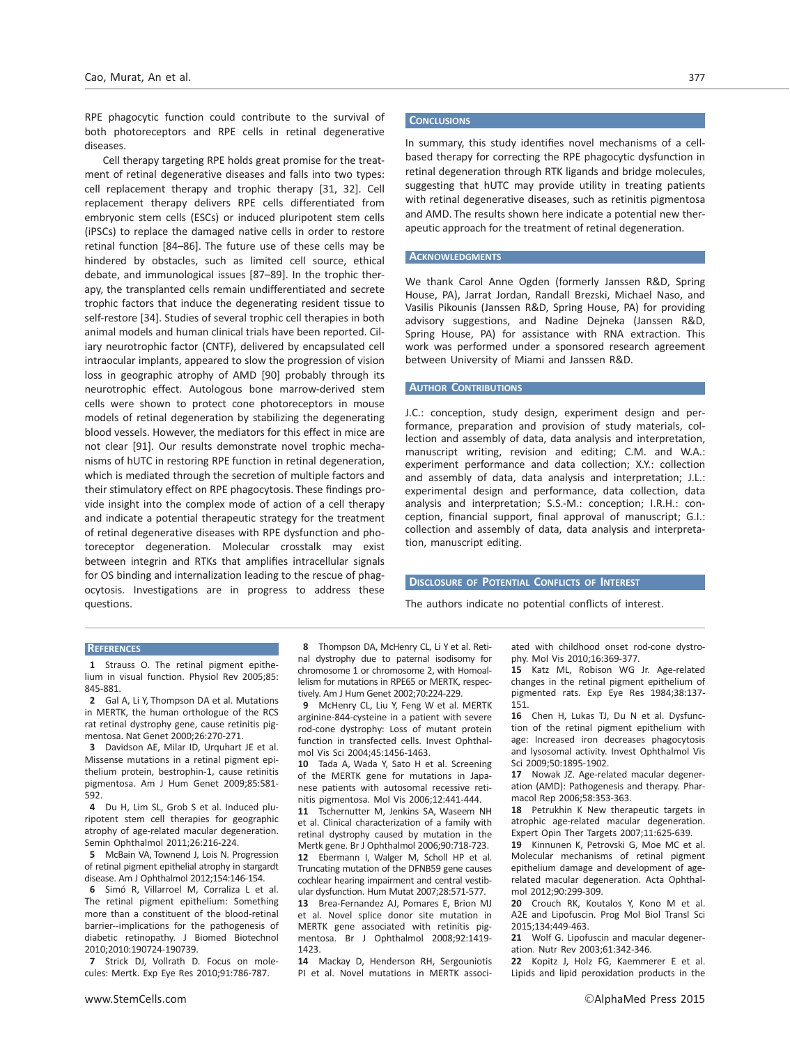RPE phagocytic function could contribute to the survival of both photoreceptors and RPE cells in retinal degenerative diseases.

Cell therapy targeting RPE holds great promise for the treatment of retinal degenerative diseases and falls into two types: cell replacement therapy and trophic therapy [31, 32]. Cell replacement therapy delivers RPE cells differentiated from embryonic stem cells (ESCs) or induced pluripotent stem cells (iPSCs) to replace the damaged native cells in order to restore retinal function [84–86]. The future use of these cells may be hindered by obstacles, such as limited cell source, ethical debate, and immunological issues [87–89]. In the trophic therapy, the transplanted cells remain undifferentiated and secrete trophic factors that induce the degenerating resident tissue to self-restore [34]. Studies of several trophic cell therapies in both animal models and human clinical trials have been reported. Ciliary neurotrophic factor (CNTF), delivered by encapsulated cell intraocular implants, appeared to slow the progression of vision loss in geographic atrophy of AMD [90] probably through its neurotrophic effect. Autologous bone marrow-derived stem cells were shown to protect cone photoreceptors in mouse models of retinal degeneration by stabilizing the degenerating blood vessels. However, the mediators for this effect in mice are not clear [91]. Our results demonstrate novel trophic mechanisms of hUTC in restoring RPE function in retinal degeneration, which is mediated through the secretion of multiple factors and their stimulatory effect on RPE phagocytosis. These findings provide insight into the complex mode of action of a cell therapy and indicate a potential therapeutic strategy for the treatment of retinal degenerative diseases with RPE dysfunction and photoreceptor degeneration. Molecular crosstalk may exist between integrin and RTKs that amplifies intracellular signals for OS binding and internalization leading to the rescue of phagocytosis. Investigations are in progress to address these questions.

#### **CONCLUSIONS**

In summary, this study identifies novel mechanisms of a cellbased therapy for correcting the RPE phagocytic dysfunction in retinal degeneration through RTK ligands and bridge molecules, suggesting that hUTC may provide utility in treating patients with retinal degenerative diseases, such as retinitis pigmentosa and AMD. The results shown here indicate a potential new therapeutic approach for the treatment of retinal degeneration.

## **ACKNOWLEDGMENTS**

We thank Carol Anne Ogden (formerly Janssen R&D, Spring House, PA), Jarrat Jordan, Randall Brezski, Michael Naso, and Vasilis Pikounis (Janssen R&D, Spring House, PA) for providing advisory suggestions, and Nadine Dejneka (Janssen R&D, Spring House, PA) for assistance with RNA extraction. This work was performed under a sponsored research agreement between University of Miami and Janssen R&D.

#### **AUTHOR CONTRIBUTIONS**

J.C.: conception, study design, experiment design and performance, preparation and provision of study materials, collection and assembly of data, data analysis and interpretation, manuscript writing, revision and editing; C.M. and W.A.: experiment performance and data collection; X.Y.: collection and assembly of data, data analysis and interpretation; J.L.: experimental design and performance, data collection, data analysis and interpretation; S.S.-M.: conception; I.R.H.: conception, financial support, final approval of manuscript; G.I.: collection and assembly of data, data analysis and interpretation, manuscript editing.

## DISCLOSURE OF POTENTIAL CONFLICTS OF INTEREST

The authors indicate no potential conflicts of interest.

#### **REFERENCES**

1 Strauss O. The retinal pigment epithelium in visual function. Physiol Rev 2005;85: 845-881.

2 Gal A, Li Y, Thompson DA et al. Mutations in MERTK, the human orthologue of the RCS rat retinal dystrophy gene, cause retinitis pigmentosa. Nat Genet 2000;26:270-271.

3 Davidson AE, Milar ID, Urquhart JE et al. Missense mutations in a retinal pigment epithelium protein, bestrophin-1, cause retinitis pigmentosa. Am J Hum Genet 2009;85:581- 592.

4 Du H, Lim SL, Grob S et al. Induced pluripotent stem cell therapies for geographic atrophy of age-related macular degeneration. Semin Ophthalmol 2011;26:216-224.

5 McBain VA, Townend J, Lois N. Progression of retinal pigment epithelial atrophy in stargardt disease. Am J Ophthalmol 2012;154:146-154.

6 Simó R, Villarroel M, Corraliza L et al. The retinal pigment epithelium: Something more than a constituent of the blood-retinal barrier--implications for the pathogenesis of diabetic retinopathy. J Biomed Biotechnol 2010;2010:190724-190739.

7 Strick DJ, Vollrath D. Focus on molecules: Mertk. Exp Eye Res 2010;91:786-787.

8 Thompson DA, McHenry CL, Li Y et al. Retinal dystrophy due to paternal isodisomy for chromosome 1 or chromosome 2, with Homoallelism for mutations in RPE65 or MERTK, respectively. Am J Hum Genet 2002;70:224-229.

9 McHenry CL, Liu Y, Feng W et al. MERTK arginine-844-cysteine in a patient with severe rod-cone dystrophy: Loss of mutant protein function in transfected cells. Invest Ophthalmol Vis Sci 2004;45:1456-1463.

10 Tada A, Wada Y, Sato H et al. Screening of the MERTK gene for mutations in Japanese patients with autosomal recessive retinitis pigmentosa. Mol Vis 2006;12:441-444.

11 Tschernutter M, Jenkins SA, Waseem NH et al. Clinical characterization of a family with retinal dystrophy caused by mutation in the Mertk gene. Br J Ophthalmol 2006;90:718-723. 12 Ebermann I, Walger M, Scholl HP et al. Truncating mutation of the DFNB59 gene causes cochlear hearing impairment and central vestib-

ular dysfunction. Hum Mutat 2007;28:571-577. 13 Brea-Fernandez AJ, Pomares E, Brion MJ et al. Novel splice donor site mutation in MERTK gene associated with retinitis pigmentosa. Br J Ophthalmol 2008;92:1419- 1423.

14 Mackay D, Henderson RH, Sergouniotis PI et al. Novel mutations in MERTK associated with childhood onset rod-cone dystrophy. Mol Vis 2010;16:369-377.

15 Katz ML, Robison WG Jr. Age-related changes in the retinal pigment epithelium of pigmented rats. Exp Eye Res 1984;38:137- 151.

16 Chen H, Lukas TJ, Du N et al. Dysfunction of the retinal pigment epithelium with age: Increased iron decreases phagocytosis and lysosomal activity. Invest Ophthalmol Vis Sci 2009;50:1895-1902.

17 Nowak JZ. Age-related macular degeneration (AMD): Pathogenesis and therapy. Pharmacol Rep 2006;58:353-363.

18 Petrukhin K New therapeutic targets in atrophic age-related macular degeneration. Expert Opin Ther Targets 2007;11:625-639.

19 Kinnunen K, Petrovski G, Moe MC et al. Molecular mechanisms of retinal pigment epithelium damage and development of agerelated macular degeneration. Acta Ophthalmol 2012;90:299-309.

20 Crouch RK, Koutalos Y, Kono M et al. A2E and Lipofuscin. Prog Mol Biol Transl Sci 2015;134:449-463.

21 Wolf G. Lipofuscin and macular degeneration. Nutr Rev 2003;61:342-346.

22 Kopitz J, Holz FG, Kaemmerer E et al. Lipids and lipid peroxidation products in the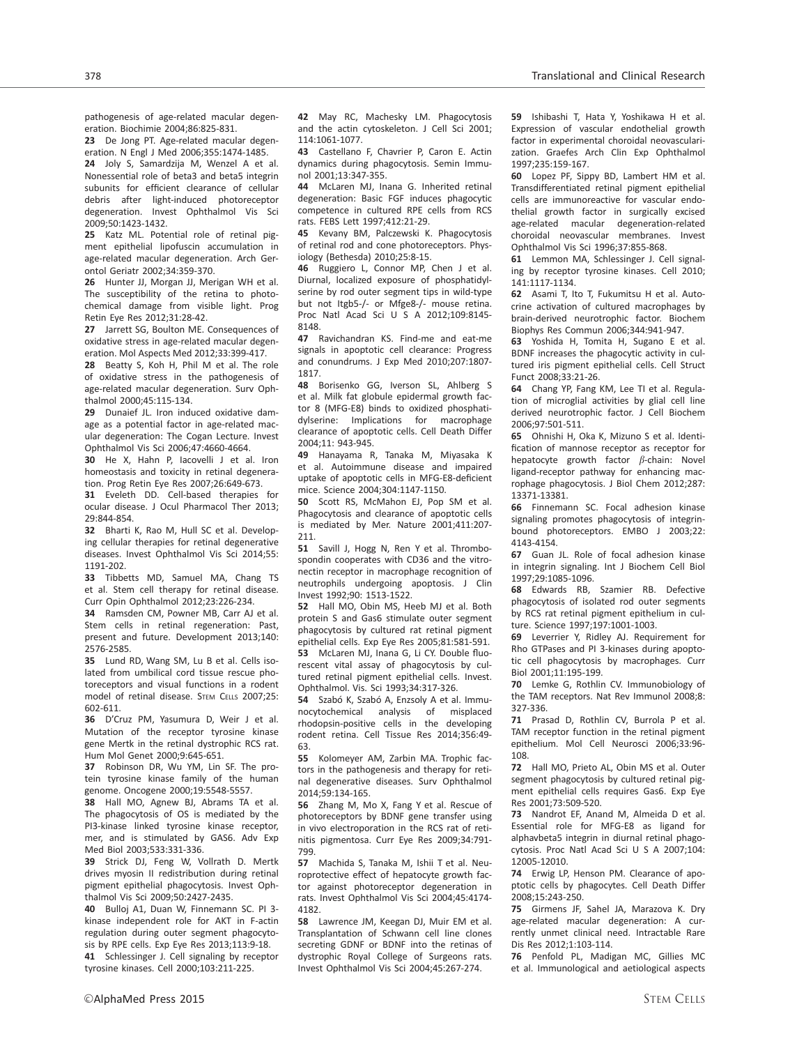pathogenesis of age-related macular degeneration. Biochimie 2004;86:825-831.

23 De Jong PT. Age-related macular degeneration. N Engl J Med 2006;355:1474-1485.

24 Joly S, Samardzija M, Wenzel A et al. Nonessential role of beta3 and beta5 integrin subunits for efficient clearance of cellular debris after light-induced photoreceptor degeneration. Invest Ophthalmol Vis Sci 2009;50:1423-1432.

25 Katz ML. Potential role of retinal pigment epithelial lipofuscin accumulation in age-related macular degeneration. Arch Gerontol Geriatr 2002;34:359-370.

26 Hunter JJ, Morgan JJ, Merigan WH et al. The susceptibility of the retina to photochemical damage from visible light. Prog Retin Eye Res 2012;31:28-42.

27 Jarrett SG, Boulton ME. Consequences of oxidative stress in age-related macular degeneration. Mol Aspects Med 2012;33:399-417.

28 Beatty S, Koh H, Phil M et al. The role of oxidative stress in the pathogenesis of age-related macular degeneration. Surv Ophthalmol 2000;45:115-134.

29 Dunaief JL. Iron induced oxidative damage as a potential factor in age-related macular degeneration: The Cogan Lecture. Invest Ophthalmol Vis Sci 2006;47:4660-4664.

30 He X, Hahn P, Iacovelli J et al. Iron homeostasis and toxicity in retinal degeneration. Prog Retin Eye Res 2007;26:649-673.

31 Eveleth DD. Cell-based therapies for ocular disease. J Ocul Pharmacol Ther 2013; 29:844-854.

32 Bharti K, Rao M, Hull SC et al. Developing cellular therapies for retinal degenerative diseases. Invest Ophthalmol Vis Sci 2014;55: 1191-202.

33 Tibbetts MD, Samuel MA, Chang TS et al. Stem cell therapy for retinal disease. Curr Opin Ophthalmol 2012;23:226-234.

34 Ramsden CM, Powner MB, Carr AJ et al. Stem cells in retinal regeneration: Past, present and future. Development 2013;140: 2576-2585.

35 Lund RD, Wang SM, Lu B et al. Cells isolated from umbilical cord tissue rescue photoreceptors and visual functions in a rodent model of retinal disease. STEM CELLS 2007;25: 602-611.

36 D'Cruz PM, Yasumura D, Weir J et al. Mutation of the receptor tyrosine kinase gene Mertk in the retinal dystrophic RCS rat. Hum Mol Genet 2000;9:645-651.

37 Robinson DR, Wu YM, Lin SF. The protein tyrosine kinase family of the human genome. Oncogene 2000;19:5548-5557.

38 Hall MO, Agnew BJ, Abrams TA et al. The phagocytosis of OS is mediated by the PI3-kinase linked tyrosine kinase receptor, mer, and is stimulated by GAS6. Adv Exp Med Biol 2003;533:331-336.

39 Strick DJ, Feng W, Vollrath D. Mertk drives myosin II redistribution during retinal pigment epithelial phagocytosis. Invest Ophthalmol Vis Sci 2009;50:2427-2435.

40 Bulloj A1, Duan W, Finnemann SC. PI 3 kinase independent role for AKT in F-actin regulation during outer segment phagocytosis by RPE cells. Exp Eye Res 2013;113:9-18. 41 Schlessinger J. Cell signaling by receptor

CAlphaMed Press 2015 STEM CELLS

42 May RC, Machesky LM. Phagocytosis and the actin cytoskeleton. J Cell Sci 2001; 114:1061-1077.

43 Castellano F, Chavrier P, Caron E. Actin dynamics during phagocytosis. Semin Immunol 2001;13:347-355.

44 McLaren MJ, Inana G. Inherited retinal degeneration: Basic FGF induces phagocytic competence in cultured RPE cells from RCS rats. FEBS Lett 1997;412:21-29.

45 Kevany BM, Palczewski K. Phagocytosis of retinal rod and cone photoreceptors. Physiology (Bethesda) 2010;25:8-15.

46 Ruggiero L, Connor MP, Chen J et al. Diurnal, localized exposure of phosphatidylserine by rod outer segment tips in wild-type but not Itgb5-/- or Mfge8-/- mouse retina. Proc Natl Acad Sci U S A 2012;109:8145- 8148.

47 Ravichandran KS. Find-me and eat-me signals in apoptotic cell clearance: Progress and conundrums. J Exp Med 2010;207:1807- 1817.

48 Borisenko GG, Iverson SL, Ahlberg S et al. Milk fat globule epidermal growth factor 8 (MFG-E8) binds to oxidized phosphatidylserine: Implications for macrophage clearance of apoptotic cells. Cell Death Differ 2004;11: 943-945.

49 Hanayama R, Tanaka M, Miyasaka K et al. Autoimmune disease and impaired uptake of apoptotic cells in MFG-E8-deficient mice. Science 2004;304:1147-1150.

50 Scott RS, McMahon EJ, Pop SM et al. Phagocytosis and clearance of apoptotic cells is mediated by Mer. Nature 2001;411:207- 211.

51 Savill J, Hogg N, Ren Y et al. Thrombospondin cooperates with CD36 and the vitronectin receptor in macrophage recognition of neutrophils undergoing apoptosis. J Clin Invest 1992;90: 1513-1522.

52 Hall MO, Obin MS, Heeb MJ et al. Both protein S and Gas6 stimulate outer segment phagocytosis by cultured rat retinal pigment epithelial cells. Exp Eye Res 2005;81:581-591. 53 McLaren MJ, Inana G, Li CY. Double fluorescent vital assay of phagocytosis by cultured retinal pigment epithelial cells. Invest. Ophthalmol. Vis. Sci 1993;34:317-326.

54 Szabó K, Szabó A, Enzsoly A et al. Immunocytochemical analysis of misplaced rhodopsin-positive cells in the developing rodent retina. Cell Tissue Res 2014;356:49- 63.

55 Kolomeyer AM, Zarbin MA. Trophic factors in the pathogenesis and therapy for retinal degenerative diseases. Surv Ophthalmol 2014;59:134-165.

56 Zhang M, Mo X, Fang Y et al. Rescue of photoreceptors by BDNF gene transfer using in vivo electroporation in the RCS rat of retinitis pigmentosa. Curr Eye Res 2009;34:791- 799.

57 Machida S, Tanaka M, Ishii T et al. Neuroprotective effect of hepatocyte growth factor against photoreceptor degeneration in rats. Invest Ophthalmol Vis Sci 2004;45:4174- 4182.

58 Lawrence JM, Keegan DJ, Muir EM et al. Transplantation of Schwann cell line clones secreting GDNF or BDNF into the retinas of dystrophic Royal College of Surgeons rats. Invest Ophthalmol Vis Sci 2004;45:267-274.

59 Ishibashi T, Hata Y, Yoshikawa H et al. Expression of vascular endothelial growth factor in experimental choroidal neovascularization. Graefes Arch Clin Exp Ophthalmol 1997;235:159-167.

60 Lopez PF, Sippy BD, Lambert HM et al. Transdifferentiated retinal pigment epithelial cells are immunoreactive for vascular endothelial growth factor in surgically excised age-related macular degeneration-related choroidal neovascular membranes. Invest Ophthalmol Vis Sci 1996;37:855-868.

61 Lemmon MA, Schlessinger J. Cell signaling by receptor tyrosine kinases. Cell 2010; 141:1117-1134.

62 Asami T, Ito T, Fukumitsu H et al. Autocrine activation of cultured macrophages by brain-derived neurotrophic factor. Biochem Biophys Res Commun 2006;344:941-947.

63 Yoshida H, Tomita H, Sugano E et al. BDNF increases the phagocytic activity in cultured iris pigment epithelial cells. Cell Struct Funct 2008;33:21-26.

64 Chang YP, Fang KM, Lee TI et al. Regulation of microglial activities by glial cell line derived neurotrophic factor. J Cell Biochem 2006;97:501-511.

65 Ohnishi H, Oka K, Mizuno S et al. Identification of mannose receptor as receptor for hepatocyte growth factor  $\beta$ -chain: Novel ligand-receptor pathway for enhancing macrophage phagocytosis. J Biol Chem 2012;287: 13371-13381.

66 Finnemann SC. Focal adhesion kinase signaling promotes phagocytosis of integrinbound photoreceptors. EMBO J 2003;22: 4143-4154.

67 Guan JL. Role of focal adhesion kinase in integrin signaling. Int J Biochem Cell Biol 1997;29:1085-1096.

68 Edwards RB, Szamier RB. Defective phagocytosis of isolated rod outer segments by RCS rat retinal pigment epithelium in culture. Science 1997;197:1001-1003.

69 Leverrier Y, Ridley AJ. Requirement for Rho GTPases and PI 3-kinases during apoptotic cell phagocytosis by macrophages. Curr Biol 2001;11:195-199.

70 Lemke G, Rothlin CV. Immunobiology of the TAM receptors. Nat Rev Immunol 2008;8: 327-336.

71 Prasad D, Rothlin CV, Burrola P et al. TAM receptor function in the retinal pigment epithelium. Mol Cell Neurosci 2006;33:96- 108.

72 Hall MO, Prieto AL, Obin MS et al. Outer segment phagocytosis by cultured retinal pigment epithelial cells requires Gas6. Exp Eye Res 2001;73:509-520.

73 Nandrot EF, Anand M, Almeida D et al. Essential role for MFG-E8 as ligand for alphavbeta5 integrin in diurnal retinal phagocytosis. Proc Natl Acad Sci U S A 2007;104: 12005-12010.

74 Erwig LP, Henson PM. Clearance of apoptotic cells by phagocytes. Cell Death Differ 2008;15:243-250.

75 Girmens JF, Sahel JA, Marazova K. Dry age-related macular degeneration: A currently unmet clinical need. Intractable Rare Dis Res 2012;1:103-114.

76 Penfold PL, Madigan MC, Gillies MC et al. Immunological and aetiological aspects